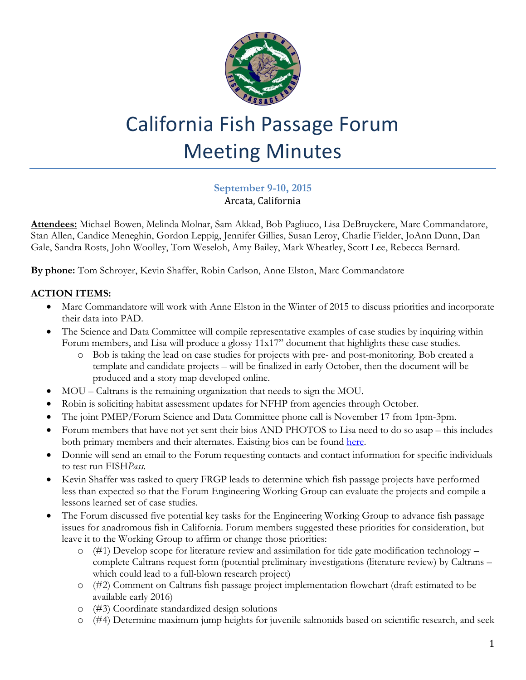

# California Fish Passage Forum Meeting Minutes

#### **September 9-10, 2015** Arcata, California

**Attendees:** Michael Bowen, Melinda Molnar, Sam Akkad, Bob Pagliuco, Lisa DeBruyckere, Marc Commandatore, Stan Allen, Candice Meneghin, Gordon Leppig, Jennifer Gillies, Susan Leroy, Charlie Fielder, JoAnn Dunn, Dan Gale, Sandra Rosts, John Woolley, Tom Weseloh, Amy Bailey, Mark Wheatley, Scott Lee, Rebecca Bernard.

**By phone:** Tom Schroyer, Kevin Shaffer, Robin Carlson, Anne Elston, Marc Commandatore

#### **ACTION ITEMS:**

- Marc Commandatore will work with Anne Elston in the Winter of 2015 to discuss priorities and incorporate their data into PAD.
- The Science and Data Committee will compile representative examples of case studies by inquiring within Forum members, and Lisa will produce a glossy 11x17" document that highlights these case studies.
	- o Bob is taking the lead on case studies for projects with pre- and post-monitoring. Bob created a template and candidate projects – will be finalized in early October, then the document will be produced and a story map developed online.
- MOU Caltrans is the remaining organization that needs to sign the MOU.
- Robin is soliciting habitat assessment updates for NFHP from agencies through October.
- The joint PMEP/Forum Science and Data Committee phone call is November 17 from 1pm-3pm.
- Forum members that have not yet sent their bios AND PHOTOS to Lisa need to do so asap this includes both primary members and their alternates. Existing bios can be found [here.](http://www.cafishpassageforum.org/forum-bios)
- Donnie will send an email to the Forum requesting contacts and contact information for specific individuals to test run FISH*Pass*.
- Kevin Shaffer was tasked to query FRGP leads to determine which fish passage projects have performed less than expected so that the Forum Engineering Working Group can evaluate the projects and compile a lessons learned set of case studies.
- The Forum discussed five potential key tasks for the Engineering Working Group to advance fish passage issues for anadromous fish in California. Forum members suggested these priorities for consideration, but leave it to the Working Group to affirm or change those priorities:
	- $\circ$  (#1) Develop scope for literature review and assimilation for tide gate modification technology complete Caltrans request form (potential preliminary investigations (literature review) by Caltrans – which could lead to a full-blown research project)
	- o (#2) Comment on Caltrans fish passage project implementation flowchart (draft estimated to be available early 2016)
	- o (#3) Coordinate standardized design solutions
	- o (#4) Determine maximum jump heights for juvenile salmonids based on scientific research, and seek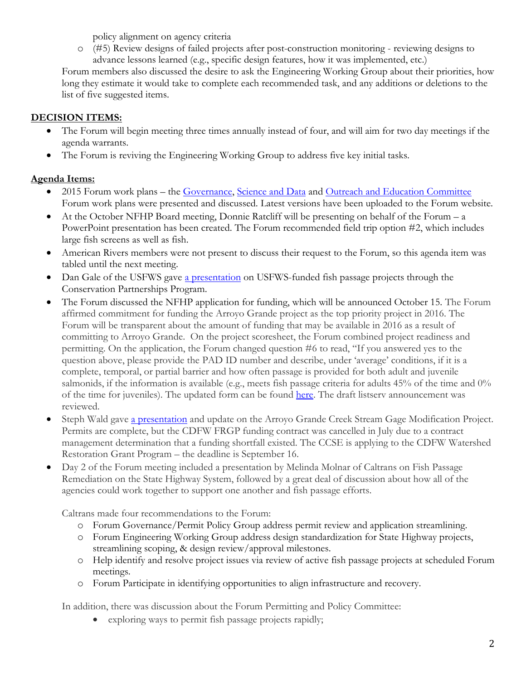policy alignment on agency criteria

o (#5) Review designs of failed projects after post-construction monitoring - reviewing designs to advance lessons learned (e.g., specific design features, how it was implemented, etc.)

Forum members also discussed the desire to ask the Engineering Working Group about their priorities, how long they estimate it would take to complete each recommended task, and any additions or deletions to the list of five suggested items.

## **DECISION ITEMS:**

- The Forum will begin meeting three times annually instead of four, and will aim for two day meetings if the agenda warrants.
- The Forum is reviving the Engineering Working Group to address five key initial tasks.

### **Agenda Items:**

- 2015 Forum work plans the [Governance, Science and Data](http://www.cafishpassageforum.org/index.cfm?fuseaction=content.display&pageID=113) and [Outreach and Education Committee](http://www.cafishpassageforum.org/media/workplans/2015forumoutreach-and-education-committeeworkplan.pdf) Forum work plans were presented and discussed. Latest versions have been uploaded to the Forum website.
- At the October NFHP Board meeting, Donnie Ratcliff will be presenting on behalf of the Forum a PowerPoint presentation has been created. The Forum recommended field trip option #2, which includes large fish screens as well as fish.
- American Rivers members were not present to discuss their request to the Forum, so this agenda item was tabled until the next meeting.
- Dan Gale of the USFWS gave [a presentation](http://www.cafishpassageforum.org/media/meetings/september2015/nfpp-presentation-2015-09-09--dg-.pdf) on USFWS-funded fish passage projects through the Conservation Partnerships Program.
- The Forum discussed the NFHP application for funding, which will be announced October 15. The Forum affirmed commitment for funding the Arroyo Grande project as the top priority project in 2016. The Forum will be transparent about the amount of funding that may be available in 2016 as a result of committing to Arroyo Grande. On the project scoresheet, the Forum combined project readiness and permitting. On the application, the Forum changed question #6 to read, "If you answered yes to the question above, please provide the PAD ID number and describe, under 'average' conditions, if it is a complete, temporal, or partial barrier and how often passage is provided for both adult and juvenile salmonids, if the information is available (e.g., meets fish passage criteria for adults 45% of the time and 0% of the time for juveniles). The updated form can be found [here.](http://form.jotform.co/form/51077082069860) The draft listserv announcement was reviewed.
- Steph Wald gave [a presentation](http://www.cafishpassageforum.org/media/meetings/september2015/cfpf-9-9-15.pdf) and update on the Arroyo Grande Creek Stream Gage Modification Project. Permits are complete, but the CDFW FRGP funding contract was cancelled in July due to a contract management determination that a funding shortfall existed. The CCSE is applying to the CDFW Watershed Restoration Grant Program – the deadline is September 16.
- Day 2 of the Forum meeting included a presentation by Melinda Molnar of Caltrans on Fish Passage Remediation on the State Highway System, followed by a great deal of discussion about how all of the agencies could work together to support one another and fish passage efforts.

Caltrans made four recommendations to the Forum:

- o Forum Governance/Permit Policy Group address permit review and application streamlining.
- o Forum Engineering Working Group address design standardization for State Highway projects, streamlining scoping, & design review/approval milestones.
- o Help identify and resolve project issues via review of active fish passage projects at scheduled Forum meetings.
- o Forum Participate in identifying opportunities to align infrastructure and recovery.

In addition, there was discussion about the Forum Permitting and Policy Committee:

exploring ways to permit fish passage projects rapidly;